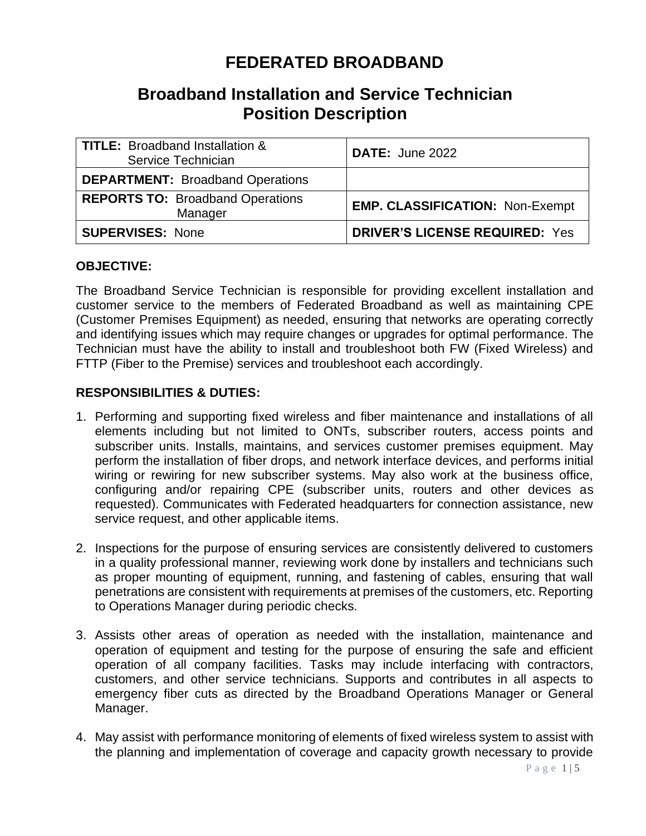# **FEDERATED BROADBAND**

## **Broadband Installation and Service Technician Position Description**

| TITLE: Broadband Installation &<br>Service Technician | <b>DATE: June 2022</b>                 |
|-------------------------------------------------------|----------------------------------------|
| <b>DEPARTMENT: Broadband Operations</b>               |                                        |
| <b>REPORTS TO: Broadband Operations</b><br>Manager    | <b>EMP. CLASSIFICATION: Non-Exempt</b> |
| <b>SUPERVISES: None</b>                               | <b>DRIVER'S LICENSE REQUIRED: Yes</b>  |

## **OBJECTIVE:**

The Broadband Service Technician is responsible for providing excellent installation and customer service to the members of Federated Broadband as well as maintaining CPE (Customer Premises Equipment) as needed, ensuring that networks are operating correctly and identifying issues which may require changes or upgrades for optimal performance. The Technician must have the ability to install and troubleshoot both FW (Fixed Wireless) and FTTP (Fiber to the Premise) services and troubleshoot each accordingly.

## **RESPONSIBILITIES & DUTIES:**

- 1. Performing and supporting fixed wireless and fiber maintenance and installations of all elements including but not limited to ONTs, subscriber routers, access points and subscriber units. Installs, maintains, and services customer premises equipment. May perform the installation of fiber drops, and network interface devices, and performs initial wiring or rewiring for new subscriber systems. May also work at the business office, configuring and/or repairing CPE (subscriber units, routers and other devices as requested). Communicates with Federated headquarters for connection assistance, new service request, and other applicable items.
- 2. Inspections for the purpose of ensuring services are consistently delivered to customers in a quality professional manner, reviewing work done by installers and technicians such as proper mounting of equipment, running, and fastening of cables, ensuring that wall penetrations are consistent with requirements at premises of the customers, etc. Reporting to Operations Manager during periodic checks.
- 3. Assists other areas of operation as needed with the installation, maintenance and operation of equipment and testing for the purpose of ensuring the safe and efficient operation of all company facilities. Tasks may include interfacing with contractors, customers, and other service technicians. Supports and contributes in all aspects to emergency fiber cuts as directed by the Broadband Operations Manager or General Manager.
- 4. May assist with performance monitoring of elements of fixed wireless system to assist with the planning and implementation of coverage and capacity growth necessary to provide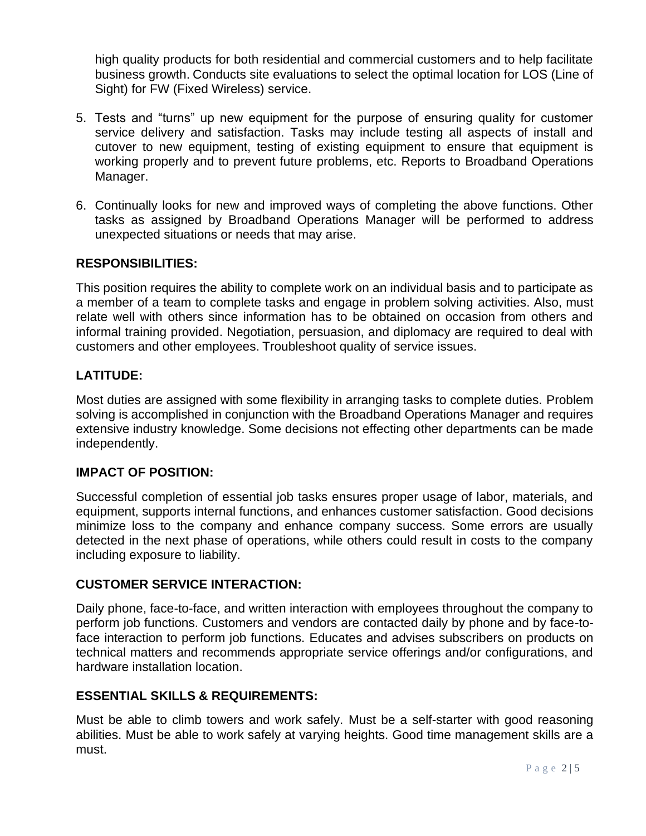high quality products for both residential and commercial customers and to help facilitate business growth. Conducts site evaluations to select the optimal location for LOS (Line of Sight) for FW (Fixed Wireless) service.

- 5. Tests and "turns" up new equipment for the purpose of ensuring quality for customer service delivery and satisfaction. Tasks may include testing all aspects of install and cutover to new equipment, testing of existing equipment to ensure that equipment is working properly and to prevent future problems, etc. Reports to Broadband Operations Manager.
- 6. Continually looks for new and improved ways of completing the above functions. Other tasks as assigned by Broadband Operations Manager will be performed to address unexpected situations or needs that may arise.

## **RESPONSIBILITIES:**

This position requires the ability to complete work on an individual basis and to participate as a member of a team to complete tasks and engage in problem solving activities. Also, must relate well with others since information has to be obtained on occasion from others and informal training provided. Negotiation, persuasion, and diplomacy are required to deal with customers and other employees. Troubleshoot quality of service issues.

## **LATITUDE:**

Most duties are assigned with some flexibility in arranging tasks to complete duties. Problem solving is accomplished in conjunction with the Broadband Operations Manager and requires extensive industry knowledge. Some decisions not effecting other departments can be made independently.

## **IMPACT OF POSITION:**

Successful completion of essential job tasks ensures proper usage of labor, materials, and equipment, supports internal functions, and enhances customer satisfaction. Good decisions minimize loss to the company and enhance company success. Some errors are usually detected in the next phase of operations, while others could result in costs to the company including exposure to liability.

## **CUSTOMER SERVICE INTERACTION:**

Daily phone, face-to-face, and written interaction with employees throughout the company to perform job functions. Customers and vendors are contacted daily by phone and by face-toface interaction to perform job functions. Educates and advises subscribers on products on technical matters and recommends appropriate service offerings and/or configurations, and hardware installation location.

## **ESSENTIAL SKILLS & REQUIREMENTS:**

Must be able to climb towers and work safely. Must be a self-starter with good reasoning abilities. Must be able to work safely at varying heights. Good time management skills are a must.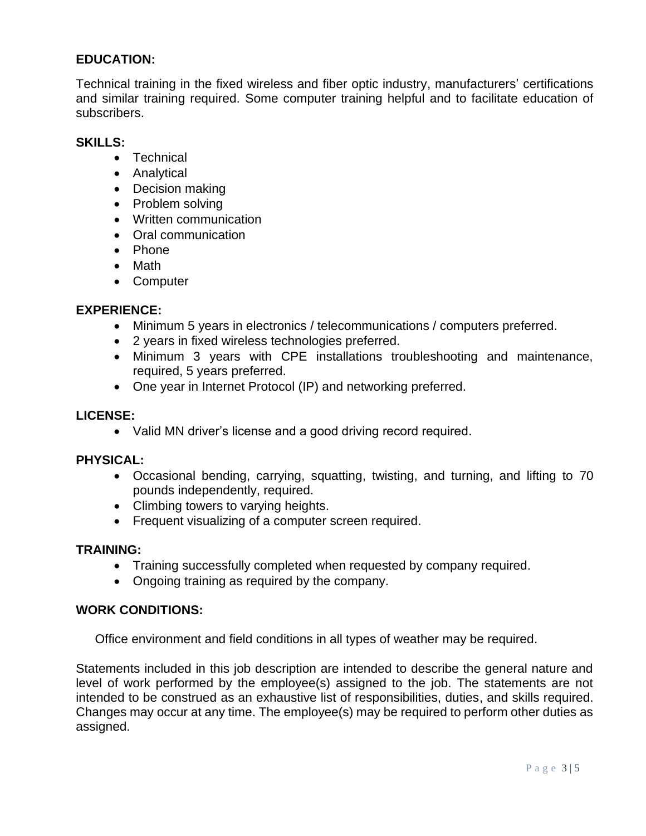## **EDUCATION:**

Technical training in the fixed wireless and fiber optic industry, manufacturers' certifications and similar training required. Some computer training helpful and to facilitate education of subscribers.

## **SKILLS:**

- Technical
- Analytical
- Decision making
- Problem solving
- Written communication
- Oral communication
- Phone
- Math
- Computer

## **EXPERIENCE:**

- Minimum 5 years in electronics / telecommunications / computers preferred.
- 2 years in fixed wireless technologies preferred.
- Minimum 3 years with CPE installations troubleshooting and maintenance, required, 5 years preferred.
- One year in Internet Protocol (IP) and networking preferred.

## **LICENSE:**

• Valid MN driver's license and a good driving record required.

## **PHYSICAL:**

- Occasional bending, carrying, squatting, twisting, and turning, and lifting to 70 pounds independently, required.
- Climbing towers to varying heights.
- Frequent visualizing of a computer screen required.

## **TRAINING:**

- Training successfully completed when requested by company required.
- Ongoing training as required by the company.

## **WORK CONDITIONS:**

Office environment and field conditions in all types of weather may be required.

Statements included in this job description are intended to describe the general nature and level of work performed by the employee(s) assigned to the job. The statements are not intended to be construed as an exhaustive list of responsibilities, duties, and skills required. Changes may occur at any time. The employee(s) may be required to perform other duties as assigned.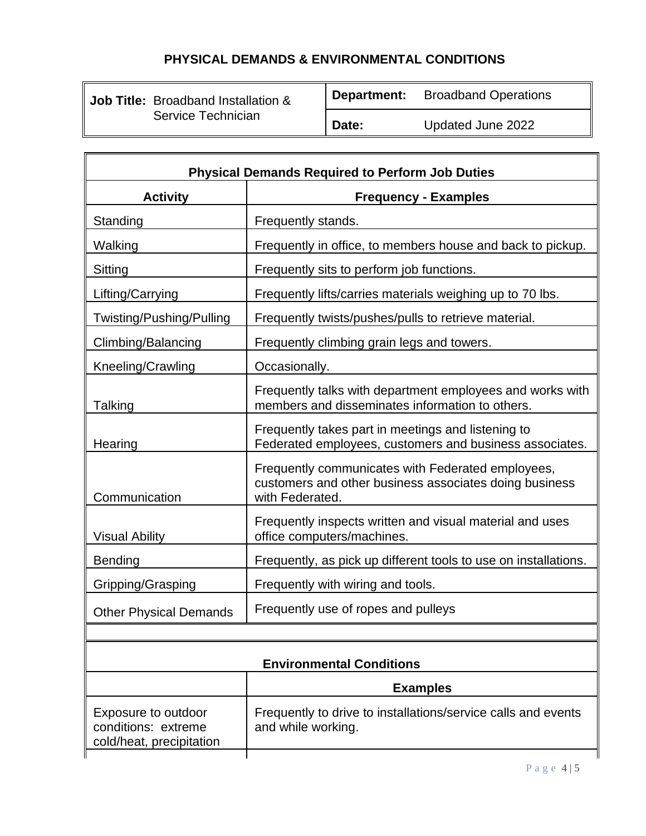## **PHYSICAL DEMANDS & ENVIRONMENTAL CONDITIONS**

| <b>Job Title:</b> Broadband Installation & |  |
|--------------------------------------------|--|
| Service Technician                         |  |

**Department:** Broadband Operations

**Date:** Updated June 2022

| <b>Physical Demands Required to Perform Job Duties</b>                 |                                                                                                                                |  |  |  |
|------------------------------------------------------------------------|--------------------------------------------------------------------------------------------------------------------------------|--|--|--|
| <b>Activity</b>                                                        | <b>Frequency - Examples</b>                                                                                                    |  |  |  |
| Standing                                                               | Frequently stands.                                                                                                             |  |  |  |
| Walking                                                                | Frequently in office, to members house and back to pickup.                                                                     |  |  |  |
| Sitting                                                                | Frequently sits to perform job functions.                                                                                      |  |  |  |
| Lifting/Carrying                                                       | Frequently lifts/carries materials weighing up to 70 lbs.                                                                      |  |  |  |
| Twisting/Pushing/Pulling                                               | Frequently twists/pushes/pulls to retrieve material.                                                                           |  |  |  |
| Climbing/Balancing                                                     | Frequently climbing grain legs and towers.                                                                                     |  |  |  |
| Kneeling/Crawling                                                      | Occasionally.                                                                                                                  |  |  |  |
| Talking                                                                | Frequently talks with department employees and works with<br>members and disseminates information to others.                   |  |  |  |
| Hearing                                                                | Frequently takes part in meetings and listening to<br>Federated employees, customers and business associates.                  |  |  |  |
| Communication                                                          | Frequently communicates with Federated employees,<br>customers and other business associates doing business<br>with Federated. |  |  |  |
| <b>Visual Ability</b>                                                  | Frequently inspects written and visual material and uses<br>office computers/machines.                                         |  |  |  |
| <b>Bending</b>                                                         | Frequently, as pick up different tools to use on installations.                                                                |  |  |  |
| Gripping/Grasping                                                      | Frequently with wiring and tools.                                                                                              |  |  |  |
| <b>Other Physical Demands</b>                                          | Frequently use of ropes and pulleys                                                                                            |  |  |  |
|                                                                        |                                                                                                                                |  |  |  |
| <b>Environmental Conditions</b>                                        |                                                                                                                                |  |  |  |
| <b>Examples</b>                                                        |                                                                                                                                |  |  |  |
| Exposure to outdoor<br>conditions: extreme<br>cold/heat, precipitation | Frequently to drive to installations/service calls and events<br>and while working.                                            |  |  |  |
|                                                                        |                                                                                                                                |  |  |  |